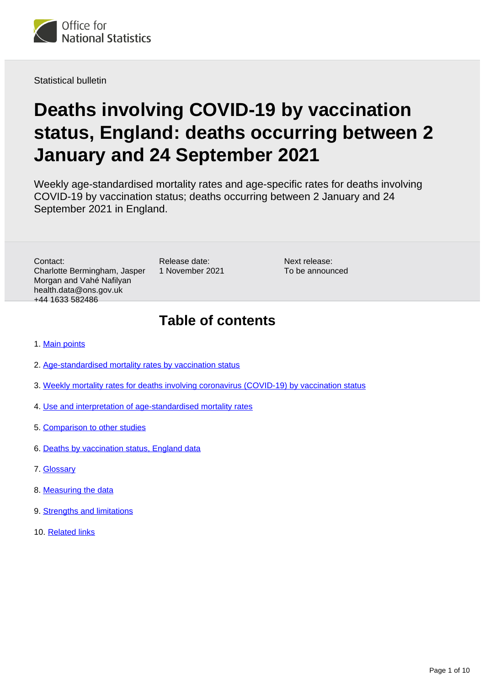

Statistical bulletin

# **Deaths involving COVID-19 by vaccination status, England: deaths occurring between 2 January and 24 September 2021**

Weekly age-standardised mortality rates and age-specific rates for deaths involving COVID-19 by vaccination status; deaths occurring between 2 January and 24 September 2021 in England.

Contact: Charlotte Bermingham, Jasper Morgan and Vahé Nafilyan health.data@ons.gov.uk +44 1633 582486

Release date: 1 November 2021

Next release: To be announced

## **Table of contents**

- 1. [Main points](#page-1-0)
- 2. [Age-standardised mortality rates by vaccination status](#page-1-1)
- 3. [Weekly mortality rates for deaths involving coronavirus \(COVID-19\) by vaccination status](#page-3-0)
- 4. [Use and interpretation of age-standardised mortality rates](#page-5-0)
- 5. [Comparison to other studies](#page-5-1)
- 6. [Deaths by vaccination status, England data](#page-6-0)
- 7. [Glossary](#page-6-1)
- 8. [Measuring the data](#page-7-0)
- 9. **[Strengths and limitations](#page-7-1)**
- 10. [Related links](#page-9-0)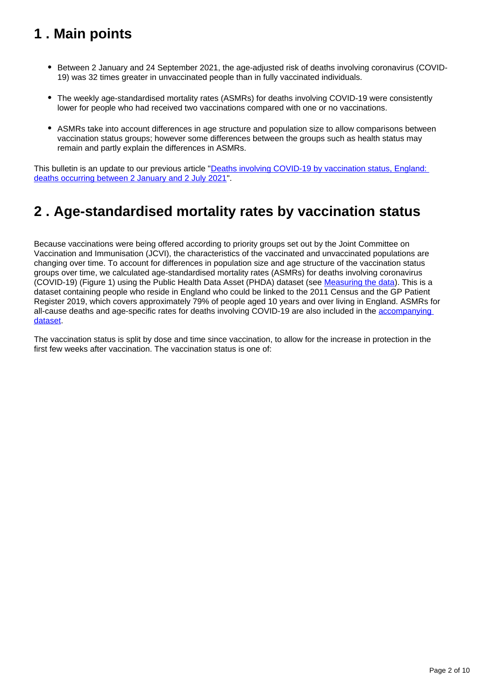## <span id="page-1-0"></span>**1 . Main points**

- Between 2 January and 24 September 2021, the age-adjusted risk of deaths involving coronavirus (COVID-19) was 32 times greater in unvaccinated people than in fully vaccinated individuals.
- The weekly age-standardised mortality rates (ASMRs) for deaths involving COVID-19 were consistently lower for people who had received two vaccinations compared with one or no vaccinations.
- ASMRs take into account differences in age structure and population size to allow comparisons between vaccination status groups; however some differences between the groups such as health status may remain and partly explain the differences in ASMRs.

This bulletin is an update to our previous article "[Deaths involving COVID-19 by vaccination status, England:](https://www.ons.gov.uk/peoplepopulationandcommunity/birthsdeathsandmarriages/deaths/articles/deathsinvolvingcovid19byvaccinationstatusengland/deathsoccurringbetween2januaryand2july2021)  [deaths occurring between 2 January and 2 July 2021](https://www.ons.gov.uk/peoplepopulationandcommunity/birthsdeathsandmarriages/deaths/articles/deathsinvolvingcovid19byvaccinationstatusengland/deathsoccurringbetween2januaryand2july2021)".

## <span id="page-1-1"></span>**2 . Age-standardised mortality rates by vaccination status**

Because vaccinations were being offered according to priority groups set out by the Joint Committee on Vaccination and Immunisation (JCVI), the characteristics of the vaccinated and unvaccinated populations are changing over time. To account for differences in population size and age structure of the vaccination status groups over time, we calculated age-standardised mortality rates (ASMRs) for deaths involving coronavirus (COVID-19) (Figure 1) using the Public Health Data Asset (PHDA) dataset (see [Measuring the data\)](https://www.ons.gov.uk/peoplepopulationandcommunity/birthsdeathsandmarriages/deaths/bulletins/deathsinvolvingcovid19byvaccinationstatusengland/deathsoccurringbetween2januaryand24september2021#measuring-the-data). This is a dataset containing people who reside in England who could be linked to the 2011 Census and the GP Patient Register 2019, which covers approximately 79% of people aged 10 years and over living in England. ASMRs for all-cause deaths and age-specific rates for deaths involving COVID-19 are also included in the [accompanying](https://www.ons.gov.uk/peoplepopulationandcommunity/birthsdeathsandmarriages/deaths/datasets/deathsbyvaccinationstatusengland)  [dataset.](https://www.ons.gov.uk/peoplepopulationandcommunity/birthsdeathsandmarriages/deaths/datasets/deathsbyvaccinationstatusengland)

The vaccination status is split by dose and time since vaccination, to allow for the increase in protection in the first few weeks after vaccination. The vaccination status is one of: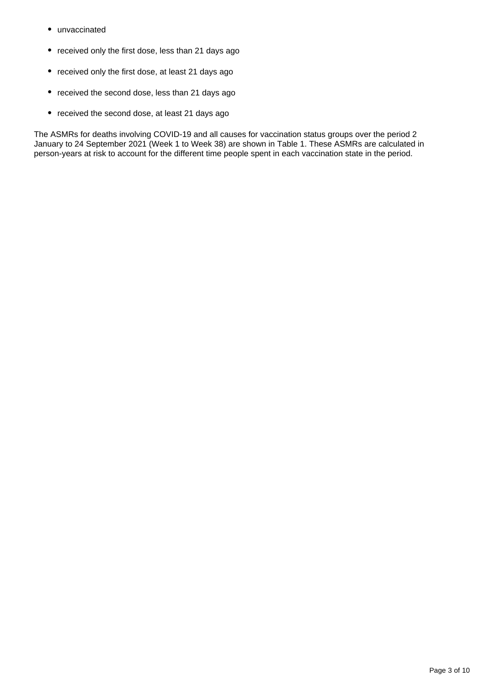- unvaccinated
- received only the first dose, less than 21 days ago
- received only the first dose, at least 21 days ago
- received the second dose, less than 21 days ago
- received the second dose, at least 21 days ago

The ASMRs for deaths involving COVID-19 and all causes for vaccination status groups over the period 2 January to 24 September 2021 (Week 1 to Week 38) are shown in Table 1. These ASMRs are calculated in person-years at risk to account for the different time people spent in each vaccination state in the period.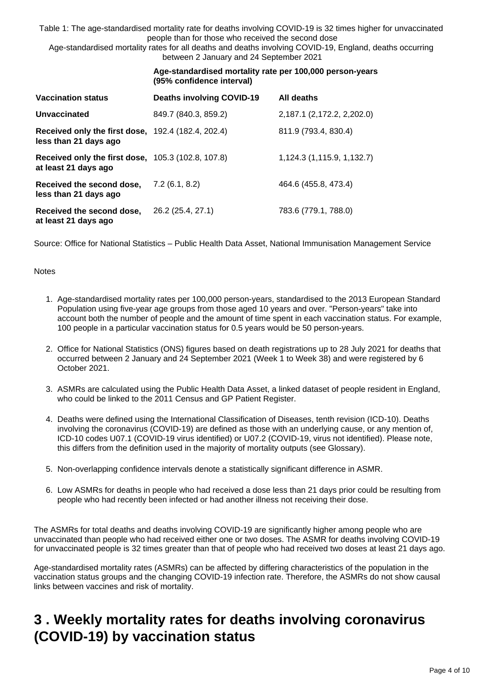Table 1: The age-standardised mortality rate for deaths involving COVID-19 is 32 times higher for unvaccinated people than for those who received the second dose

Age-standardised mortality rates for all deaths and deaths involving COVID-19, England, deaths occurring between 2 January and 24 September 2021

|                                                                                    | Age-standardised mortality rate per 100,000 person-years<br>(95% confidence interval) |                            |
|------------------------------------------------------------------------------------|---------------------------------------------------------------------------------------|----------------------------|
| <b>Vaccination status</b>                                                          | <b>Deaths involving COVID-19</b>                                                      | All deaths                 |
| <b>Unvaccinated</b>                                                                | 849.7 (840.3, 859.2)                                                                  | 2,187.1 (2,172.2, 2,202.0) |
| <b>Received only the first dose, 192.4 (182.4, 202.4)</b><br>less than 21 days ago |                                                                                       | 811.9 (793.4, 830.4)       |
| <b>Received only the first dose, 105.3 (102.8, 107.8)</b><br>at least 21 days ago  |                                                                                       | 1,124.3 (1,115.9, 1,132.7) |
| Received the second dose,<br>less than 21 days ago                                 | 7.2(6.1, 8.2)                                                                         | 464.6 (455.8, 473.4)       |
| Received the second dose,<br>at least 21 days ago                                  | 26.2 (25.4, 27.1)                                                                     | 783.6 (779.1, 788.0)       |

Source: Office for National Statistics – Public Health Data Asset, National Immunisation Management Service

#### **Notes**

- 1. Age-standardised mortality rates per 100,000 person-years, standardised to the 2013 European Standard Population using five-year age groups from those aged 10 years and over. "Person-years" take into account both the number of people and the amount of time spent in each vaccination status. For example, 100 people in a particular vaccination status for 0.5 years would be 50 person-years.
- 2. Office for National Statistics (ONS) figures based on death registrations up to 28 July 2021 for deaths that occurred between 2 January and 24 September 2021 (Week 1 to Week 38) and were registered by 6 October 2021.
- 3. ASMRs are calculated using the Public Health Data Asset, a linked dataset of people resident in England, who could be linked to the 2011 Census and GP Patient Register.
- 4. Deaths were defined using the International Classification of Diseases, tenth revision (ICD-10). Deaths involving the coronavirus (COVID-19) are defined as those with an underlying cause, or any mention of, ICD-10 codes U07.1 (COVID-19 virus identified) or U07.2 (COVID-19, virus not identified). Please note, this differs from the definition used in the majority of mortality outputs (see Glossary).
- 5. Non-overlapping confidence intervals denote a statistically significant difference in ASMR.
- 6. Low ASMRs for deaths in people who had received a dose less than 21 days prior could be resulting from people who had recently been infected or had another illness not receiving their dose.

The ASMRs for total deaths and deaths involving COVID-19 are significantly higher among people who are unvaccinated than people who had received either one or two doses. The ASMR for deaths involving COVID-19 for unvaccinated people is 32 times greater than that of people who had received two doses at least 21 days ago.

Age-standardised mortality rates (ASMRs) can be affected by differing characteristics of the population in the vaccination status groups and the changing COVID-19 infection rate. Therefore, the ASMRs do not show causal links between vaccines and risk of mortality.

## <span id="page-3-0"></span>**3 . Weekly mortality rates for deaths involving coronavirus (COVID-19) by vaccination status**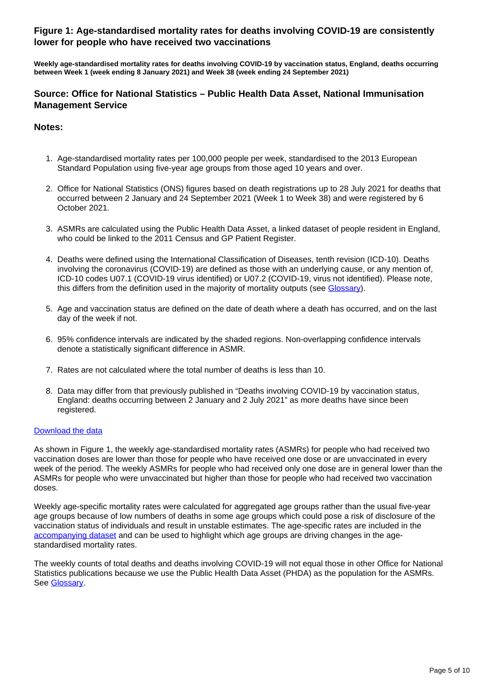#### **Figure 1: Age-standardised mortality rates for deaths involving COVID-19 are consistently lower for people who have received two vaccinations**

**Weekly age-standardised mortality rates for deaths involving COVID-19 by vaccination status, England, deaths occurring between Week 1 (week ending 8 January 2021) and Week 38 (week ending 24 September 2021)**

#### **Source: Office for National Statistics – Public Health Data Asset, National Immunisation Management Service**

#### **Notes:**

- 1. Age-standardised mortality rates per 100,000 people per week, standardised to the 2013 European Standard Population using five-year age groups from those aged 10 years and over.
- 2. Office for National Statistics (ONS) figures based on death registrations up to 28 July 2021 for deaths that occurred between 2 January and 24 September 2021 (Week 1 to Week 38) and were registered by 6 October 2021.
- 3. ASMRs are calculated using the Public Health Data Asset, a linked dataset of people resident in England, who could be linked to the 2011 Census and GP Patient Register.
- 4. Deaths were defined using the International Classification of Diseases, tenth revision (ICD-10). Deaths involving the coronavirus (COVID-19) are defined as those with an underlying cause, or any mention of, ICD-10 codes U07.1 (COVID-19 virus identified) or U07.2 (COVID-19, virus not identified). Please note, this differs from the definition used in the majority of mortality outputs (see [Glossary\)](https://www.ons.gov.uk/peoplepopulationandcommunity/birthsdeathsandmarriages/deaths/bulletins/deathsinvolvingcovid19byvaccinationstatusengland/deathsoccurringbetween2januaryand24september2021#glossary).
- 5. Age and vaccination status are defined on the date of death where a death has occurred, and on the last day of the week if not.
- 6. 95% confidence intervals are indicated by the shaded regions. Non-overlapping confidence intervals denote a statistically significant difference in ASMR.
- 7. Rates are not calculated where the total number of deaths is less than 10.
- 8. Data may differ from that previously published in "Deaths involving COVID-19 by vaccination status, England: deaths occurring between 2 January and 2 July 2021" as more deaths have since been registered.

#### [Download the data](https://www.ons.gov.uk/visualisations/dvc1644/fig1/datadownload.xlsx)

As shown in Figure 1, the weekly age-standardised mortality rates (ASMRs) for people who had received two vaccination doses are lower than those for people who have received one dose or are unvaccinated in every week of the period. The weekly ASMRs for people who had received only one dose are in general lower than the ASMRs for people who were unvaccinated but higher than those for people who had received two vaccination doses.

Weekly age-specific mortality rates were calculated for aggregated age groups rather than the usual five-year age groups because of low numbers of deaths in some age groups which could pose a risk of disclosure of the vaccination status of individuals and result in unstable estimates. The age-specific rates are included in the [accompanying dataset](https://www.ons.gov.uk/peoplepopulationandcommunity/birthsdeathsandmarriages/deaths/datasets/deathsbyvaccinationstatusengland) and can be used to highlight which age groups are driving changes in the agestandardised mortality rates.

The weekly counts of total deaths and deaths involving COVID-19 will not equal those in other Office for National Statistics publications because we use the Public Health Data Asset (PHDA) as the population for the ASMRs. See [Glossary](https://www.ons.gov.uk/peoplepopulationandcommunity/birthsdeathsandmarriages/deaths/bulletins/deathsinvolvingcovid19byvaccinationstatusengland/deathsoccurringbetween2januaryand24september2021#glossary).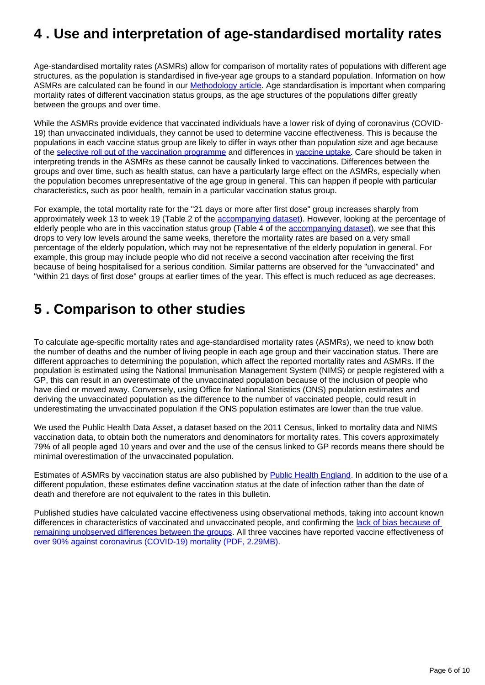## <span id="page-5-0"></span>**4 . Use and interpretation of age-standardised mortality rates**

Age-standardised mortality rates (ASMRs) allow for comparison of mortality rates of populations with different age structures, as the population is standardised in five-year age groups to a standard population. Information on how ASMRs are calculated can be found in our [Methodology article](https://www.ons.gov.uk/peoplepopulationandcommunity/birthsdeathsandmarriages/deaths/methodologies/weeklycovid19agestandardisedmortalityratesbyvaccinationstatusenglandmethodology). Age standardisation is important when comparing mortality rates of different vaccination status groups, as the age structures of the populations differ greatly between the groups and over time.

While the ASMRs provide evidence that vaccinated individuals have a lower risk of dying of coronavirus (COVID-19) than unvaccinated individuals, they cannot be used to determine vaccine effectiveness. This is because the populations in each vaccine status group are likely to differ in ways other than population size and age because of the [selective roll out of the vaccination programme](https://www.gov.uk/government/publications/priority-groups-for-coronavirus-covid-19-vaccination-advice-from-the-jcvi-30-december-2020) and differences in [vaccine uptake](https://www.ons.gov.uk/peoplepopulationandcommunity/healthandsocialcare/healthinequalities/bulletins/coronavirusandvaccinationratesinpeopleaged70yearsandoverbysociodemographiccharacteristicengland/8december2020to9may). Care should be taken in interpreting trends in the ASMRs as these cannot be causally linked to vaccinations. Differences between the groups and over time, such as health status, can have a particularly large effect on the ASMRs, especially when the population becomes unrepresentative of the age group in general. This can happen if people with particular characteristics, such as poor health, remain in a particular vaccination status group.

For example, the total mortality rate for the "21 days or more after first dose" group increases sharply from approximately week 13 to week 19 (Table 2 of the [accompanying dataset](https://www.ons.gov.uk/peoplepopulationandcommunity/birthsdeathsandmarriages/deaths/datasets/deathsbyvaccinationstatusengland)). However, looking at the percentage of elderly people who are in this vaccination status group (Table 4 of the [accompanying dataset\)](https://www.ons.gov.uk/peoplepopulationandcommunity/birthsdeathsandmarriages/deaths/datasets/deathsbyvaccinationstatusengland), we see that this drops to very low levels around the same weeks, therefore the mortality rates are based on a very small percentage of the elderly population, which may not be representative of the elderly population in general. For example, this group may include people who did not receive a second vaccination after receiving the first because of being hospitalised for a serious condition. Similar patterns are observed for the "unvaccinated" and "within 21 days of first dose" groups at earlier times of the year. This effect is much reduced as age decreases.

## <span id="page-5-1"></span>**5 . Comparison to other studies**

To calculate age-specific mortality rates and age-standardised mortality rates (ASMRs), we need to know both the number of deaths and the number of living people in each age group and their vaccination status. There are different approaches to determining the population, which affect the reported mortality rates and ASMRs. If the population is estimated using the National Immunisation Management System (NIMS) or people registered with a GP, this can result in an overestimate of the unvaccinated population because of the inclusion of people who have died or moved away. Conversely, using Office for National Statistics (ONS) population estimates and deriving the unvaccinated population as the difference to the number of vaccinated people, could result in underestimating the unvaccinated population if the ONS population estimates are lower than the true value.

We used the Public Health Data Asset, a dataset based on the 2011 Census, linked to mortality data and NIMS vaccination data, to obtain both the numerators and denominators for mortality rates. This covers approximately 79% of all people aged 10 years and over and the use of the census linked to GP records means there should be minimal overestimation of the unvaccinated population.

Estimates of ASMRs by vaccination status are also published by [Public Health England.](https://www.gov.uk/government/publications/covid-19-vaccine-surveillance-report) In addition to the use of a different population, these estimates define vaccination status at the date of infection rather than the date of death and therefore are not equivalent to the rates in this bulletin.

Published studies have calculated vaccine effectiveness using observational methods, taking into account known differences in characteristics of vaccinated and unvaccinated people, and confirming the [lack of bias because of](https://www.medrxiv.org/content/10.1101/2021.07.12.21260385v1)  [remaining unobserved differences between the groups](https://www.medrxiv.org/content/10.1101/2021.07.12.21260385v1). All three vaccines have reported vaccine effectiveness of [over 90% against coronavirus \(COVID-19\) mortality \(PDF, 2.29MB\).](https://assets.publishing.service.gov.uk/government/uploads/system/uploads/attachment_data/file/1019992/Vaccine_surveillance_report_-_week_38.pdf)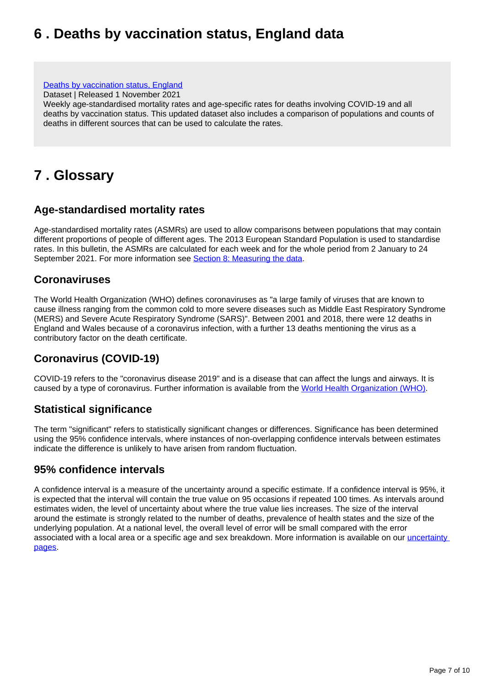## <span id="page-6-0"></span>**6 . Deaths by vaccination status, England data**

#### [Deaths by vaccination status, England](https://www.ons.gov.uk/peoplepopulationandcommunity/birthsdeathsandmarriages/deaths/datasets/deathsbyvaccinationstatusengland)

Dataset | Released 1 November 2021

Weekly age-standardised mortality rates and age-specific rates for deaths involving COVID-19 and all deaths by vaccination status. This updated dataset also includes a comparison of populations and counts of deaths in different sources that can be used to calculate the rates.

## <span id="page-6-1"></span>**7 . Glossary**

### **Age-standardised mortality rates**

Age-standardised mortality rates (ASMRs) are used to allow comparisons between populations that may contain different proportions of people of different ages. The 2013 European Standard Population is used to standardise rates. In this bulletin, the ASMRs are calculated for each week and for the whole period from 2 January to 24 September 2021. For more information see [Section 8: Measuring the data](https://www.ons.gov.uk/peoplepopulationandcommunity/birthsdeathsandmarriages/deaths/bulletins/deathsinvolvingcovid19byvaccinationstatusengland/deathsoccurringbetween2januaryand24september2021#measuring-the-data).

### **Coronaviruses**

The World Health Organization (WHO) defines coronaviruses as "a large family of viruses that are known to cause illness ranging from the common cold to more severe diseases such as Middle East Respiratory Syndrome (MERS) and Severe Acute Respiratory Syndrome (SARS)". Between 2001 and 2018, there were 12 deaths in England and Wales because of a coronavirus infection, with a further 13 deaths mentioning the virus as a contributory factor on the death certificate.

### **Coronavirus (COVID-19)**

COVID-19 refers to the "coronavirus disease 2019" and is a disease that can affect the lungs and airways. It is caused by a type of coronavirus. Further information is available from the [World Health Organization \(WHO\)](https://www.who.int/health-topics/coronavirus#tab=tab_1).

### **Statistical significance**

The term "significant" refers to statistically significant changes or differences. Significance has been determined using the 95% confidence intervals, where instances of non-overlapping confidence intervals between estimates indicate the difference is unlikely to have arisen from random fluctuation.

### **95% confidence intervals**

A confidence interval is a measure of the uncertainty around a specific estimate. If a confidence interval is 95%, it is expected that the interval will contain the true value on 95 occasions if repeated 100 times. As intervals around estimates widen, the level of uncertainty about where the true value lies increases. The size of the interval around the estimate is strongly related to the number of deaths, prevalence of health states and the size of the underlying population. At a national level, the overall level of error will be small compared with the error associated with a local area or a specific age and sex breakdown. More information is available on our *uncertainty* **[pages](https://www.ons.gov.uk/methodology/methodologytopicsandstatisticalconcepts/uncertaintyandhowwemeasureit#statistical-significance)**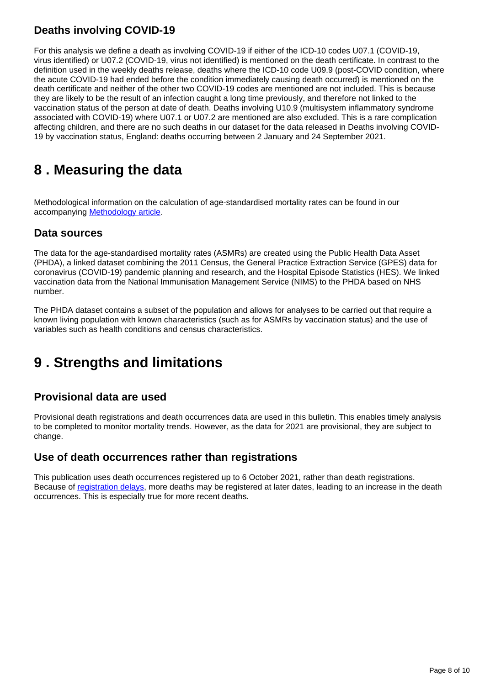### **Deaths involving COVID-19**

For this analysis we define a death as involving COVID-19 if either of the ICD-10 codes U07.1 (COVID-19, virus identified) or U07.2 (COVID-19, virus not identified) is mentioned on the death certificate. In contrast to the definition used in the weekly deaths release, deaths where the ICD-10 code U09.9 (post-COVID condition, where the acute COVID-19 had ended before the condition immediately causing death occurred) is mentioned on the death certificate and neither of the other two COVID-19 codes are mentioned are not included. This is because they are likely to be the result of an infection caught a long time previously, and therefore not linked to the vaccination status of the person at date of death. Deaths involving U10.9 (multisystem inflammatory syndrome associated with COVID-19) where U07.1 or U07.2 are mentioned are also excluded. This is a rare complication affecting children, and there are no such deaths in our dataset for the data released in Deaths involving COVID-19 by vaccination status, England: deaths occurring between 2 January and 24 September 2021.

## <span id="page-7-0"></span>**8 . Measuring the data**

Methodological information on the calculation of age-standardised mortality rates can be found in our accompanying [Methodology article](https://www.ons.gov.uk/peoplepopulationandcommunity/birthsdeathsandmarriages/deaths/methodologies/weeklycovid19agestandardisedmortalityratesbyvaccinationstatusenglandmethodology).

### **Data sources**

The data for the age-standardised mortality rates (ASMRs) are created using the Public Health Data Asset (PHDA), a linked dataset combining the 2011 Census, the General Practice Extraction Service (GPES) data for coronavirus (COVID-19) pandemic planning and research, and the Hospital Episode Statistics (HES). We linked vaccination data from the National Immunisation Management Service (NIMS) to the PHDA based on NHS number.

The PHDA dataset contains a subset of the population and allows for analyses to be carried out that require a known living population with known characteristics (such as for ASMRs by vaccination status) and the use of variables such as health conditions and census characteristics.

## <span id="page-7-1"></span>**9 . Strengths and limitations**

### **Provisional data are used**

Provisional death registrations and death occurrences data are used in this bulletin. This enables timely analysis to be completed to monitor mortality trends. However, as the data for 2021 are provisional, they are subject to change.

### **Use of death occurrences rather than registrations**

This publication uses death occurrences registered up to 6 October 2021, rather than death registrations. Because of [registration delays,](https://www.ons.gov.uk/peoplepopulationandcommunity/birthsdeathsandmarriages/deaths/articles/impactofregistrationdelaysonmortalitystatisticsinenglandandwales/latest) more deaths may be registered at later dates, leading to an increase in the death occurrences. This is especially true for more recent deaths.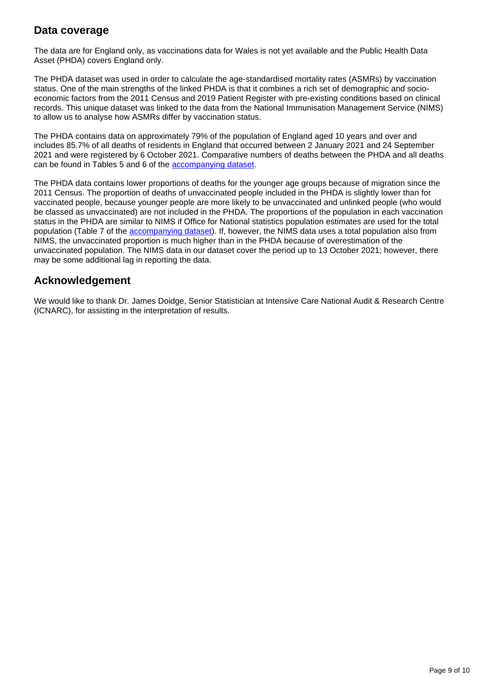### **Data coverage**

The data are for England only, as vaccinations data for Wales is not yet available and the Public Health Data Asset (PHDA) covers England only.

The PHDA dataset was used in order to calculate the age-standardised mortality rates (ASMRs) by vaccination status. One of the main strengths of the linked PHDA is that it combines a rich set of demographic and socioeconomic factors from the 2011 Census and 2019 Patient Register with pre-existing conditions based on clinical records. This unique dataset was linked to the data from the National Immunisation Management Service (NIMS) to allow us to analyse how ASMRs differ by vaccination status.

The PHDA contains data on approximately 79% of the population of England aged 10 years and over and includes 85.7% of all deaths of residents in England that occurred between 2 January 2021 and 24 September 2021 and were registered by 6 October 2021. Comparative numbers of deaths between the PHDA and all deaths can be found in Tables 5 and 6 of the [accompanying dataset](https://www.ons.gov.uk/peoplepopulationandcommunity/birthsdeathsandmarriages/deaths/datasets/deathsbyvaccinationstatusengland).

The PHDA data contains lower proportions of deaths for the younger age groups because of migration since the 2011 Census. The proportion of deaths of unvaccinated people included in the PHDA is slightly lower than for vaccinated people, because younger people are more likely to be unvaccinated and unlinked people (who would be classed as unvaccinated) are not included in the PHDA. The proportions of the population in each vaccination status in the PHDA are similar to NIMS if Office for National statistics population estimates are used for the total population (Table 7 of the [accompanying dataset\)](https://www.ons.gov.uk/peoplepopulationandcommunity/birthsdeathsandmarriages/deaths/datasets/deathsbyvaccinationstatusengland). If, however, the NIMS data uses a total population also from NIMS, the unvaccinated proportion is much higher than in the PHDA because of overestimation of the unvaccinated population. The NIMS data in our dataset cover the period up to 13 October 2021; however, there may be some additional lag in reporting the data.

### **Acknowledgement**

We would like to thank Dr. James Doidge, Senior Statistician at Intensive Care National Audit & Research Centre (ICNARC), for assisting in the interpretation of results.